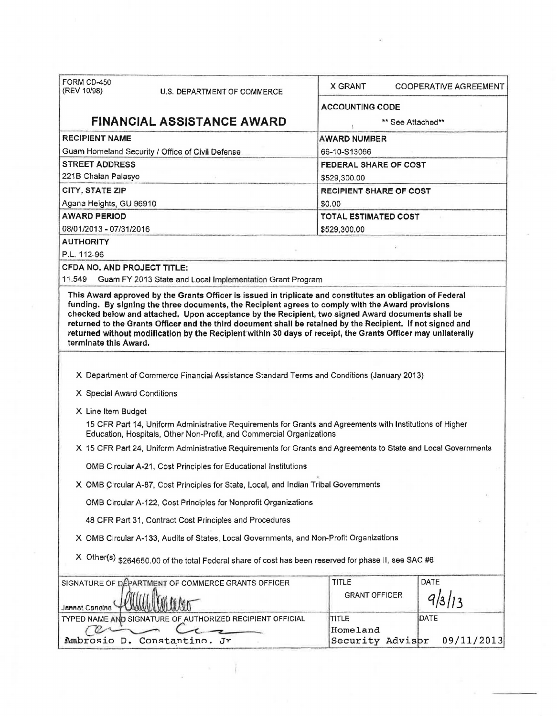|                                                  | U.S. DEPARTMENT OF COMMERCE                                                                                                                                                                                                  | X GRANT                      | <b>COOPERATIVE AGREEMENT</b> |  |
|--------------------------------------------------|------------------------------------------------------------------------------------------------------------------------------------------------------------------------------------------------------------------------------|------------------------------|------------------------------|--|
|                                                  |                                                                                                                                                                                                                              | <b>ACCOUNTING CODE</b>       |                              |  |
|                                                  | <b>FINANCIAL ASSISTANCE AWARD</b>                                                                                                                                                                                            |                              | ** See Attached**            |  |
| <b>RECIPIENT NAME</b>                            |                                                                                                                                                                                                                              | <b>AWARD NUMBER</b>          |                              |  |
| Guam Homeland Security / Office of Civil Defense |                                                                                                                                                                                                                              | 66-10-S13066                 |                              |  |
| <b>STREET ADDRESS</b>                            |                                                                                                                                                                                                                              | <b>FEDERAL SHARE OF COST</b> |                              |  |
| 221B Chalan Palasyo                              |                                                                                                                                                                                                                              | \$529,300.00                 |                              |  |
| CITY, STATE ZIP                                  |                                                                                                                                                                                                                              | RECIPIENT SHARE OF COST      |                              |  |
| Agana Heights, GU 96910                          |                                                                                                                                                                                                                              | \$0.00                       |                              |  |
| <b>AWARD PERIOD</b><br>08/01/2013 - 07/31/2016   |                                                                                                                                                                                                                              | TOTAL ESTIMATED COST         |                              |  |
| <b>AUTHORITY</b>                                 |                                                                                                                                                                                                                              | \$529,300.00                 |                              |  |
| P.L. 112-96                                      |                                                                                                                                                                                                                              |                              |                              |  |
| <b>CFDA NO. AND PROJECT TITLE:</b>               |                                                                                                                                                                                                                              |                              |                              |  |
| 11,549                                           | Guam FY 2013 State and Local Implementation Grant Program                                                                                                                                                                    |                              |                              |  |
| terminate this Award.                            | returned to the Grants Officer and the third document shall be retained by the Recipient. If not signed and<br>returned without modification by the Recipient within 30 days of receipt, the Grants Officer may unliaterally |                              |                              |  |
|                                                  |                                                                                                                                                                                                                              |                              |                              |  |
|                                                  |                                                                                                                                                                                                                              |                              |                              |  |
|                                                  | X Department of Commerce Financial Assistance Standard Terms and Conditions (January 2013)                                                                                                                                   |                              |                              |  |
| X Special Award Conditions                       |                                                                                                                                                                                                                              |                              |                              |  |
| X Line Item Budget                               |                                                                                                                                                                                                                              |                              |                              |  |
|                                                  | 15 CFR Part 14, Uniform Administrative Requirements for Grants and Agreements with Institutions of Higher<br>Education, Hospitals, Other Non-Profit, and Commercial Organizations                                            |                              |                              |  |
|                                                  | X 15 CFR Part 24, Uniform Administrative Requirements for Grants and Agreements to State and Local Governments                                                                                                               |                              |                              |  |
|                                                  | OMB Circular A-21, Cost Principles for Educational Institutions                                                                                                                                                              |                              |                              |  |
|                                                  | X OMB Circular A-87, Cost Principles for State, Local, and Indian Tribal Governments                                                                                                                                         |                              |                              |  |
|                                                  | OMB Circular A-122, Cost Principles for Nonprofit Organizations                                                                                                                                                              |                              |                              |  |
|                                                  | 48 CFR Part 31, Contract Cost Principles and Procedures                                                                                                                                                                      |                              |                              |  |
|                                                  | X OMB Circular A-133, Audits of States, Local Governments, and Non-Profit Organizations                                                                                                                                      |                              |                              |  |
|                                                  | X Other(s) \$264650.00 of the total Federal share of cost has been reserved for phase II, see SAC #6                                                                                                                         |                              |                              |  |
|                                                  | SIGNATURE OF DEPARTMENT OF COMMERCE GRANTS OFFICER                                                                                                                                                                           | TITLE                        | DATE                         |  |
| Jannet Cancino                                   |                                                                                                                                                                                                                              | <b>GRANT OFFICER</b>         | 9/3/13                       |  |
|                                                  | TYPED NAME AND SIGNATURE OF AUTHORIZED RECIPIENT OFFICIAL                                                                                                                                                                    | <b>TITLE</b><br>Homeland     | DATE                         |  |

 $\epsilon$